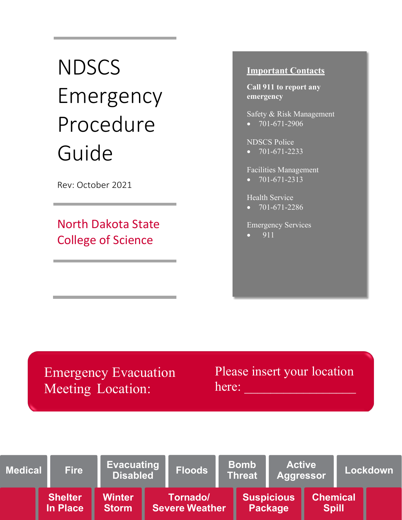# **NDSCS** Emergency Procedure Guide

Rev: October 2021

North Dakota State College of Science

# **Important Contacts**

**Call 911 to report any emergency**

Safety & Risk Management  $\bullet$  701-671-2906

NDSCS Police

 $\bullet$  701-671-2233

Facilities Management

 $\bullet$  701-671-2313

Health Service

 $\bullet$  701-671-2286

Emergency Services

• 911

Emergency Evacuation Meeting Location:

Please insert your location here:

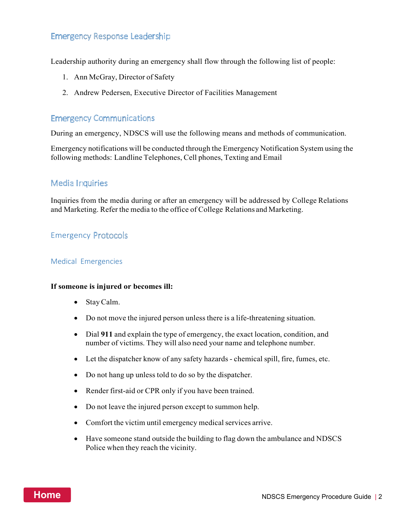# **Emergency Response Leadership**

Leadership authority during an emergency shall flow through the following list of people:

- 1. Ann McGray, Director of Safety
- 2. Andrew Pedersen, Executive Director of Facilities Management

# **Emergency Communications**

During an emergency, NDSCS will use the following means and methods of communication.

Emergency notifications will be conducted through the Emergency Notification System using the following methods: Landline Telephones, Cell phones, Texting and Email

## **Media Inquiries**

Inquiries from the media during or after an emergency will be addressed by College Relations and Marketing. Refer the media to the office of College Relations and Marketing.

# **Emergency Protocols**

#### Medical Emergencies

#### **If someone is injured or becomes ill:**

- StayCalm.
- Do not move the injured person unless there is a life-threatening situation.
- Dial **911** and explain the type of emergency, the exact location, condition, and number of victims. They will also need your name and telephone number.
- Let the dispatcher know of any safety hazards chemical spill, fire, fumes, etc.
- Do not hang up unless told to do so by the dispatcher.
- Render first-aid or CPR only if you have been trained.
- Do not leave the injured person except to summon help.
- Comfort the victim until emergency medical services arrive.
- Have someone stand outside the building to flag down the ambulance and NDSCS Police when they reach the vicinity.

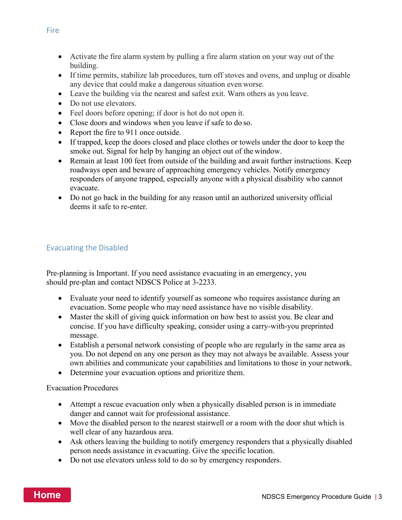- Activate the fire alarm system by pulling a fire alarm station on your way out of the building.
- If time permits, stabilize lab procedures, turn off stoves and ovens, and unplug or disable any device that could make a dangerous situation even worse.
- Leave the building via the nearest and safest exit. Warn others as you leave.
- Do not use elevators.
- Feel doors before opening; if door is hot do not open it.
- Close doors and windows when you leave if safe to do so.
- Report the fire to 911 once outside.
- If trapped, keep the doors closed and place clothes or towels under the door to keep the smoke out. Signal for help by hanging an object out of the window.
- Remain at least 100 feet from outside of the building and await further instructions. Keep roadways open and beware of approaching emergency vehicles. Notify emergency responders of anyone trapped, especially anyone with a physical disability who cannot evacuate.
- Do not go back in the building for any reason until an authorized university official deems it safe to re-enter.

# Evacuating the Disabled

Pre-planning is Important. If you need assistance evacuating in an emergency, you should pre-plan and contact NDSCS Police at 3-2233.

- Evaluate your need to identify yourself as someone who requires assistance during an evacuation. Some people who may need assistance have no visible disability.
- Master the skill of giving quick information on how best to assist you. Be clear and concise. If you have difficulty speaking, consider using a carry-with-you preprinted message.
- Establish a personal network consisting of people who are regularly in the same area as you. Do not depend on any one person as they may not always be available. Assess your own abilities and communicate your capabilities and limitations to those in your network.
- Determine your evacuation options and prioritize them.

Evacuation Procedures

- Attempt a rescue evacuation only when a physically disabled person is in immediate danger and cannot wait for professional assistance.
- Move the disabled person to the nearest stairwell or a room with the door shut which is well clear of any hazardous area.
- Ask others leaving the building to notify emergency responders that a physically disabled person needs assistance in evacuating. Give the specific location.
- Do not use elevators unless told to do so by emergency responders.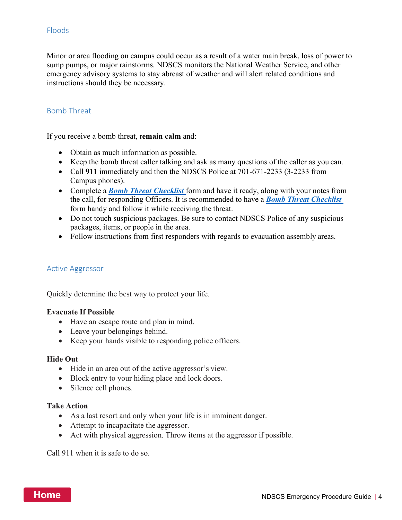# Floods

Minor or area flooding on campus could occur as a result of a water main break, loss of power to sump pumps, or major rainstorms. NDSCS monitors the National Weather Service, and other emergency advisory systems to stay abreast of weather and will alert related conditions and instructions should they be necessary.

## Bomb Threat

If you receive a bomb threat, r**emain calm** and:

- Obtain as much information as possible.
- Keep the bomb threat caller talking and ask as many questions of the caller as you can.
- Call 911 immediately and then the NDSCS Police at 701-671-2233 (3-2233 from Campus phones).
- Complete a *Bomb Threat Checklist* form and have it ready, along with your notes from the call, for responding Officers. It is recommended to have a *Bomb Threat Checklist*  form handy and follow it while receiving the threat.
- Do not touch suspicious packages. Be sure to contact NDSCS Police of any suspicious packages, items, or people in the area.
- Follow instructions from first responders with regards to evacuation assembly areas.

## Active Aggressor

Quickly determine the best way to protect your life.

#### **Evacuate If Possible**

- Have an escape route and plan in mind.
- Leave your belongings behind.
- Keep your hands visible to responding police officers.

#### **Hide Out**

- Hide in an area out of the active aggressor's view.
- Block entry to your hiding place and lock doors.
- Silence cell phones.

#### **Take Action**

- As a last resort and only when your life is in imminent danger.
- Attempt to incapacitate the aggressor.
- Act with physical aggression. Throw items at the aggressor if possible.

Call 911 when it is safe to do so.

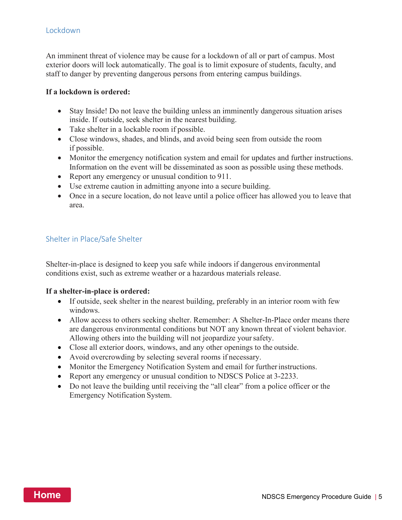# Lockdown

An imminent threat of violence may be cause for a lockdown of all or part of campus. Most exterior doors will lock automatically. The goal is to limit exposure of students, faculty, and staff to danger by preventing dangerous persons from entering campus buildings.

#### **If a lockdown is ordered:**

- Stay Inside! Do not leave the building unless an imminently dangerous situation arises inside. If outside, seek shelter in the nearest building.
- Take shelter in a lockable room if possible.
- Close windows, shades, and blinds, and avoid being seen from outside the room if possible.
- Monitor the emergency notification system and email for updates and further instructions. Information on the event will be disseminated as soon as possible using these methods.
- Report any emergency or unusual condition to 911.
- Use extreme caution in admitting anyone into a secure building.
- Once in a secure location, do not leave until a police officer has allowed you to leave that area.

## Shelter in Place/Safe Shelter

Shelter-in-place is designed to keep you safe while indoors if dangerous environmental conditions exist, such as extreme weather or a hazardous materials release.

#### **If a shelter-in-place is ordered:**

- If outside, seek shelter in the nearest building, preferably in an interior room with few windows.
- Allow access to others seeking shelter. Remember: A Shelter-In-Place order means there are dangerous environmental conditions but NOT any known threat of violent behavior. Allowing others into the building will not jeopardize yoursafety.
- Close all exterior doors, windows, and any other openings to the outside.
- Avoid overcrowding by selecting several rooms if necessary.
- Monitor the Emergency Notification System and email for further instructions.
- Report any emergency or unusual condition to NDSCS Police at 3-2233.
- Do not leave the building until receiving the "all clear" from a police officer or the Emergency Notification System.

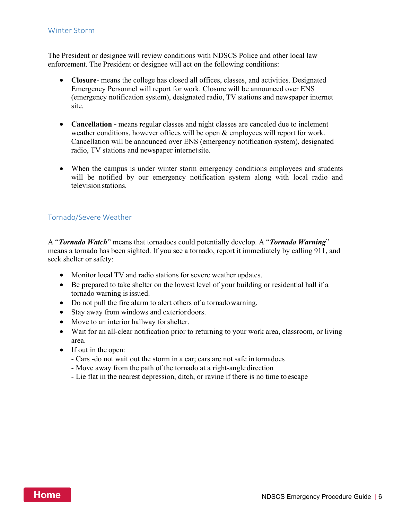#### Winter Storm

The President or designee will review conditions with NDSCS Police and other local law enforcement. The President or designee will act on the following conditions:

- **Closure** means the college has closed all offices, classes, and activities. Designated Emergency Personnel will report for work. Closure will be announced over ENS (emergency notification system), designated radio, TV stations and newspaper internet site.
- **Cancellation -** means regular classes and night classes are canceled due to inclement weather conditions, however offices will be open & employees will report for work. Cancellation will be announced over ENS (emergency notification system), designated radio, TV stations and newspaper internetsite.
- When the campus is under winter storm emergency conditions employees and students will be notified by our emergency notification system along with local radio and television stations.

#### Tornado/Severe Weather

A "*Tornado Watch*" means that tornadoes could potentially develop. A "*Tornado Warning*" means a tornado has been sighted. If you see a tornado, report it immediately by calling 911, and seek shelter or safety:

- Monitor local TV and radio stations for severe weather updates.
- Be prepared to take shelter on the lowest level of your building or residential hall if a tornado warning is issued.
- Do not pull the fire alarm to alert others of a tornadowarning.
- Stay away from windows and exterior doors.
- Move to an interior hallway for shelter.
- Wait for an all-clear notification prior to returning to your work area, classroom, or living area.
- If out in the open:
	- Cars -do not wait out the storm in a car; cars are not safe intornadoes
	- Move away from the path of the tornado at a right-angle direction
	- Lie flat in the nearest depression, ditch, or ravine if there is no time to escape